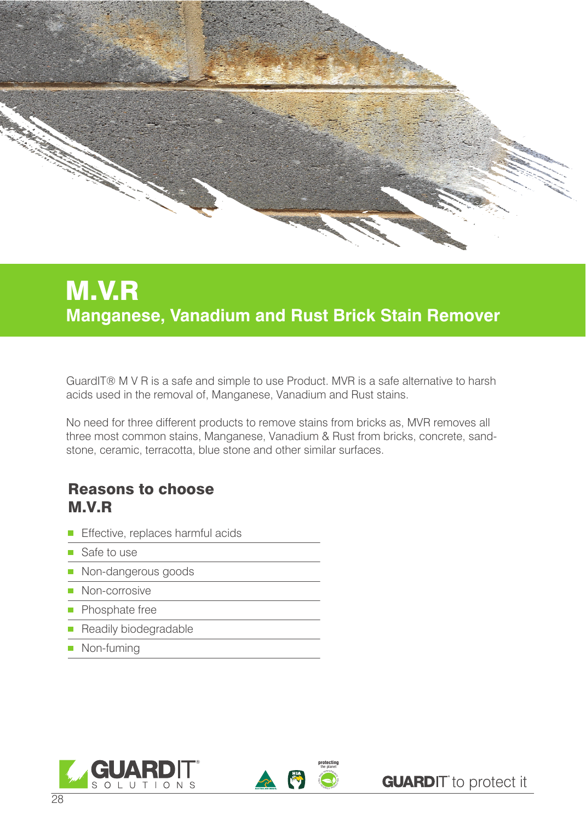

## M.V.R **Manganese, Vanadium and Rust Brick Stain Remover**

GuardIT® M V R is a safe and simple to use Product. MVR is a safe alternative to harsh acids used in the removal of, Manganese, Vanadium and Rust stains.

No need for three different products to remove stains from bricks as, MVR removes all three most common stains, Manganese, Vanadium & Rust from bricks, concrete, sandstone, ceramic, terracotta, blue stone and other similar surfaces.

## Reasons to choose M.V.R

- **Effective, replaces harmful acids**
- Safe to use
- Non-dangerous goods
- **Non-corrosive**
- **Phosphate free**
- **Readily biodegradable**
- **Non-fuming**